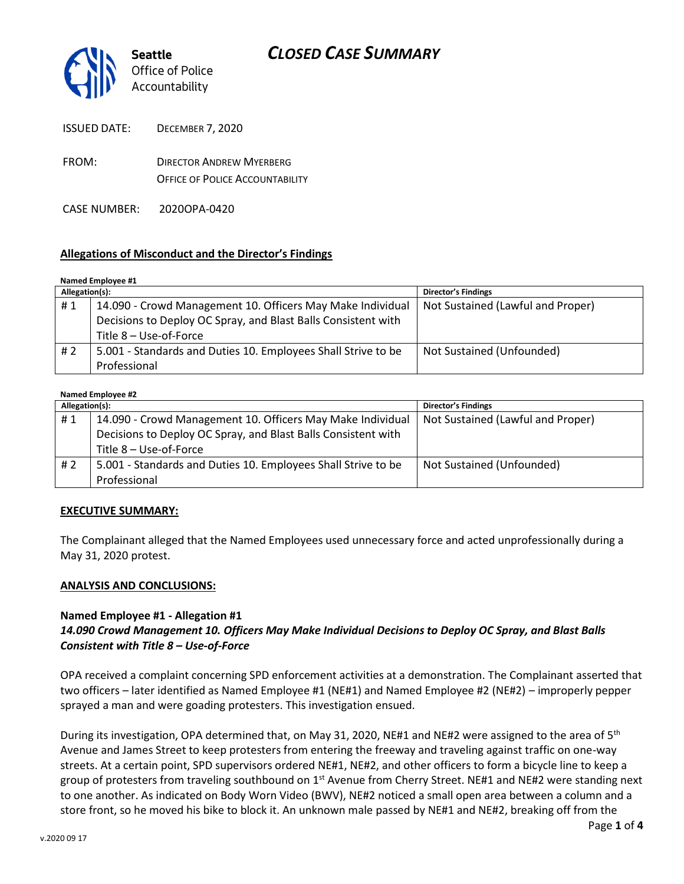

ISSUED DATE: DECEMBER 7, 2020

FROM: DIRECTOR ANDREW MYERBERG OFFICE OF POLICE ACCOUNTABILITY

CASE NUMBER: 2020OPA-0420

## **Allegations of Misconduct and the Director's Findings**

| Named Employee #1 |                                                               |                                   |  |
|-------------------|---------------------------------------------------------------|-----------------------------------|--|
| Allegation(s):    |                                                               | <b>Director's Findings</b>        |  |
| #1                | 14.090 - Crowd Management 10. Officers May Make Individual    | Not Sustained (Lawful and Proper) |  |
|                   | Decisions to Deploy OC Spray, and Blast Balls Consistent with |                                   |  |
|                   | Title 8 - Use-of-Force                                        |                                   |  |
| # 2               | 5.001 - Standards and Duties 10. Employees Shall Strive to be | Not Sustained (Unfounded)         |  |
|                   | Professional                                                  |                                   |  |

#### **Named Employee #2**

| Allegation(s): |                                                               | <b>Director's Findings</b>        |
|----------------|---------------------------------------------------------------|-----------------------------------|
| #1             | 14.090 - Crowd Management 10. Officers May Make Individual    | Not Sustained (Lawful and Proper) |
|                | Decisions to Deploy OC Spray, and Blast Balls Consistent with |                                   |
|                | Title 8 - Use-of-Force                                        |                                   |
| #2             | 5.001 - Standards and Duties 10. Employees Shall Strive to be | Not Sustained (Unfounded)         |
|                | Professional                                                  |                                   |

### **EXECUTIVE SUMMARY:**

The Complainant alleged that the Named Employees used unnecessary force and acted unprofessionally during a May 31, 2020 protest.

### **ANALYSIS AND CONCLUSIONS:**

### **Named Employee #1 - Allegation #1**

## *14.090 Crowd Management 10. Officers May Make Individual Decisions to Deploy OC Spray, and Blast Balls Consistent with Title 8 – Use-of-Force*

OPA received a complaint concerning SPD enforcement activities at a demonstration. The Complainant asserted that two officers – later identified as Named Employee #1 (NE#1) and Named Employee #2 (NE#2) – improperly pepper sprayed a man and were goading protesters. This investigation ensued.

During its investigation, OPA determined that, on May 31, 2020, NE#1 and NE#2 were assigned to the area of 5<sup>th</sup> Avenue and James Street to keep protesters from entering the freeway and traveling against traffic on one-way streets. At a certain point, SPD supervisors ordered NE#1, NE#2, and other officers to form a bicycle line to keep a group of protesters from traveling southbound on  $1<sup>st</sup>$  Avenue from Cherry Street. NE#1 and NE#2 were standing next to one another. As indicated on Body Worn Video (BWV), NE#2 noticed a small open area between a column and a store front, so he moved his bike to block it. An unknown male passed by NE#1 and NE#2, breaking off from the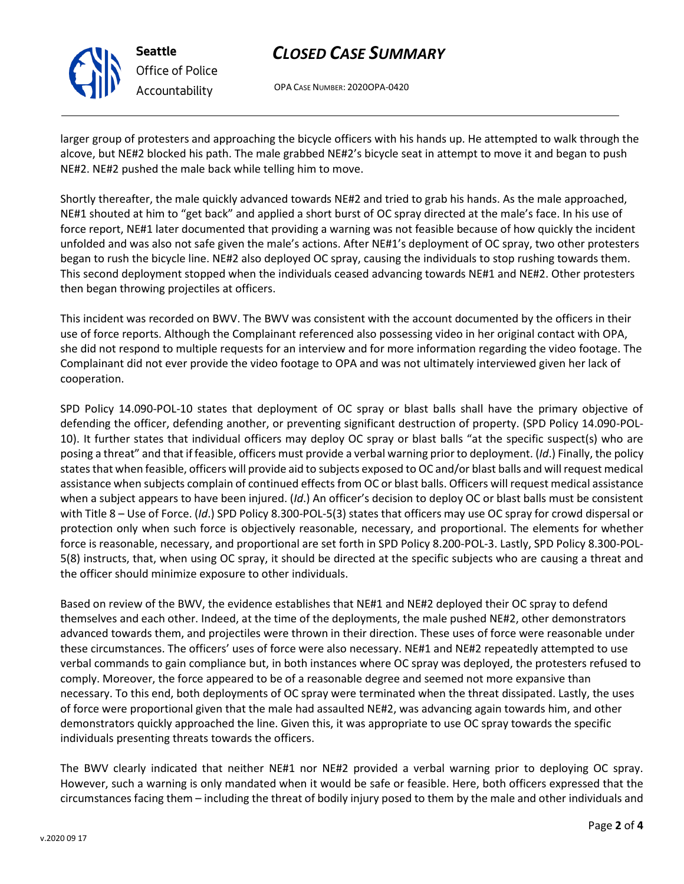# *CLOSED CASE SUMMARY*

OPA CASE NUMBER: 2020OPA-0420

larger group of protesters and approaching the bicycle officers with his hands up. He attempted to walk through the alcove, but NE#2 blocked his path. The male grabbed NE#2's bicycle seat in attempt to move it and began to push NE#2. NE#2 pushed the male back while telling him to move.

Shortly thereafter, the male quickly advanced towards NE#2 and tried to grab his hands. As the male approached, NE#1 shouted at him to "get back" and applied a short burst of OC spray directed at the male's face. In his use of force report, NE#1 later documented that providing a warning was not feasible because of how quickly the incident unfolded and was also not safe given the male's actions. After NE#1's deployment of OC spray, two other protesters began to rush the bicycle line. NE#2 also deployed OC spray, causing the individuals to stop rushing towards them. This second deployment stopped when the individuals ceased advancing towards NE#1 and NE#2. Other protesters then began throwing projectiles at officers.

This incident was recorded on BWV. The BWV was consistent with the account documented by the officers in their use of force reports. Although the Complainant referenced also possessing video in her original contact with OPA, she did not respond to multiple requests for an interview and for more information regarding the video footage. The Complainant did not ever provide the video footage to OPA and was not ultimately interviewed given her lack of cooperation.

SPD Policy 14.090-POL-10 states that deployment of OC spray or blast balls shall have the primary objective of defending the officer, defending another, or preventing significant destruction of property. (SPD Policy 14.090-POL-10). It further states that individual officers may deploy OC spray or blast balls "at the specific suspect(s) who are posing a threat" and that if feasible, officers must provide a verbal warning prior to deployment. (*Id*.) Finally, the policy states that when feasible, officers will provide aid to subjects exposed to OC and/or blast balls and will request medical assistance when subjects complain of continued effects from OC or blast balls. Officers will request medical assistance when a subject appears to have been injured. (*Id*.) An officer's decision to deploy OC or blast balls must be consistent with Title 8 – Use of Force. (*Id*.) SPD Policy 8.300-POL-5(3) states that officers may use OC spray for crowd dispersal or protection only when such force is objectively reasonable, necessary, and proportional. The elements for whether force is reasonable, necessary, and proportional are set forth in SPD Policy 8.200-POL-3. Lastly, SPD Policy 8.300-POL-5(8) instructs, that, when using OC spray, it should be directed at the specific subjects who are causing a threat and the officer should minimize exposure to other individuals.

Based on review of the BWV, the evidence establishes that NE#1 and NE#2 deployed their OC spray to defend themselves and each other. Indeed, at the time of the deployments, the male pushed NE#2, other demonstrators advanced towards them, and projectiles were thrown in their direction. These uses of force were reasonable under these circumstances. The officers' uses of force were also necessary. NE#1 and NE#2 repeatedly attempted to use verbal commands to gain compliance but, in both instances where OC spray was deployed, the protesters refused to comply. Moreover, the force appeared to be of a reasonable degree and seemed not more expansive than necessary. To this end, both deployments of OC spray were terminated when the threat dissipated. Lastly, the uses of force were proportional given that the male had assaulted NE#2, was advancing again towards him, and other demonstrators quickly approached the line. Given this, it was appropriate to use OC spray towards the specific individuals presenting threats towards the officers.

The BWV clearly indicated that neither NE#1 nor NE#2 provided a verbal warning prior to deploying OC spray. However, such a warning is only mandated when it would be safe or feasible. Here, both officers expressed that the circumstances facing them – including the threat of bodily injury posed to them by the male and other individuals and



**Seattle** *Office of Police Accountability*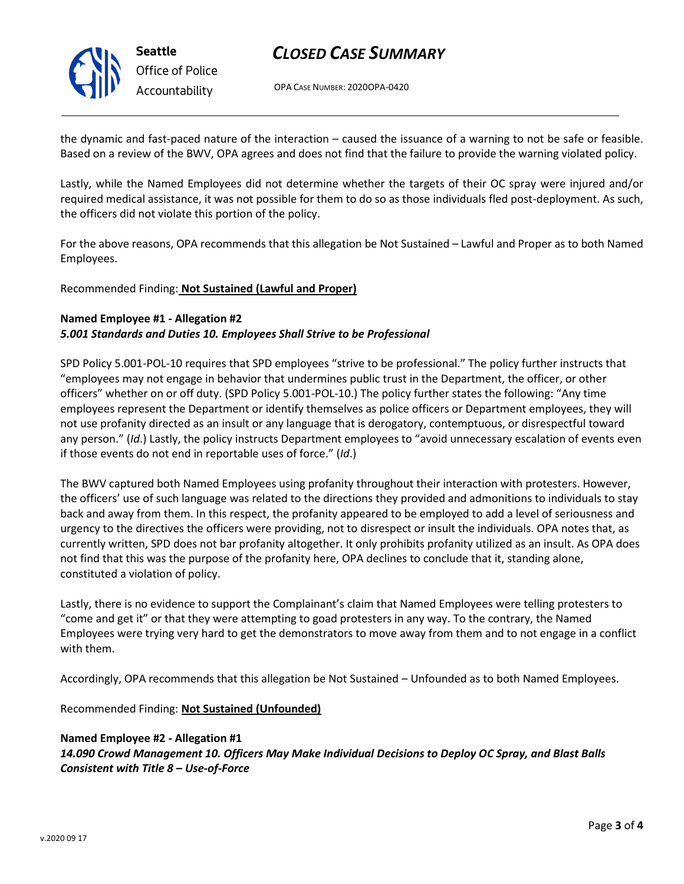

**Seattle** *Office of Police Accountability*

# *CLOSED CASE SUMMARY*

OPA CASE NUMBER: 2020OPA-0420

the dynamic and fast-paced nature of the interaction – caused the issuance of a warning to not be safe or feasible. Based on a review of the BWV, OPA agrees and does not find that the failure to provide the warning violated policy.

Lastly, while the Named Employees did not determine whether the targets of their OC spray were injured and/or required medical assistance, it was not possible for them to do so as those individuals fled post-deployment. As such, the officers did not violate this portion of the policy.

For the above reasons, OPA recommends that this allegation be Not Sustained – Lawful and Proper as to both Named Employees.

Recommended Finding: **Not Sustained (Lawful and Proper)**

## **Named Employee #1 - Allegation #2** *5.001 Standards and Duties 10. Employees Shall Strive to be Professional*

SPD Policy 5.001-POL-10 requires that SPD employees "strive to be professional." The policy further instructs that "employees may not engage in behavior that undermines public trust in the Department, the officer, or other officers" whether on or off duty. (SPD Policy 5.001-POL-10.) The policy further states the following: "Any time employees represent the Department or identify themselves as police officers or Department employees, they will not use profanity directed as an insult or any language that is derogatory, contemptuous, or disrespectful toward any person." (*Id*.) Lastly, the policy instructs Department employees to "avoid unnecessary escalation of events even if those events do not end in reportable uses of force." (*Id*.)

The BWV captured both Named Employees using profanity throughout their interaction with protesters. However, the officers' use of such language was related to the directions they provided and admonitions to individuals to stay back and away from them. In this respect, the profanity appeared to be employed to add a level of seriousness and urgency to the directives the officers were providing, not to disrespect or insult the individuals. OPA notes that, as currently written, SPD does not bar profanity altogether. It only prohibits profanity utilized as an insult. As OPA does not find that this was the purpose of the profanity here, OPA declines to conclude that it, standing alone, constituted a violation of policy.

Lastly, there is no evidence to support the Complainant's claim that Named Employees were telling protesters to "come and get it" or that they were attempting to goad protesters in any way. To the contrary, the Named Employees were trying very hard to get the demonstrators to move away from them and to not engage in a conflict with them.

Accordingly, OPA recommends that this allegation be Not Sustained – Unfounded as to both Named Employees.

Recommended Finding: **Not Sustained (Unfounded)**

## **Named Employee #2 - Allegation #1**

*14.090 Crowd Management 10. Officers May Make Individual Decisions to Deploy OC Spray, and Blast Balls Consistent with Title 8 – Use-of-Force*